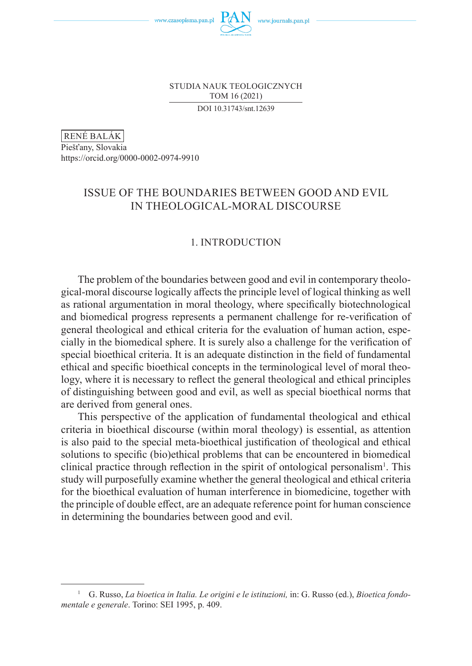

STUDIA NAUK TEOLOGICZNYCH TOM 16 (2021) DOI 10.31743/snt.12639

RENÉ BALÁK

Piešťany, Slovakia https://orcid.org/0000-0002-0974-9910

# ISSUE OF THE BOUNDARIES BETWEEN GOOD AND EVIL IN THEOLOGICAL-MORAL DISCOURSE

## 1. INTRODUCTION

The problem of the boundaries between good and evil in contemporary theological-moral discourse logically affects the principle level of logical thinking as well as rational argumentation in moral theology, where specifically biotechnological and biomedical progress represents a permanent challenge for re-verification of general theological and ethical criteria for the evaluation of human action, especially in the biomedical sphere. It is surely also a challenge for the verification of special bioethical criteria. It is an adequate distinction in the field of fundamental ethical and specific bioethical concepts in the terminological level of moral theology, where it is necessary to reflect the general theological and ethical principles of distinguishing between good and evil, as well as special bioethical norms that are derived from general ones.

This perspective of the application of fundamental theological and ethical criteria in bioethical discourse (within moral theology) is essential, as attention is also paid to the special meta-bioethical justification of theological and ethical solutions to specific (bio)ethical problems that can be encountered in biomedical clinical practice through reflection in the spirit of ontological personalism<sup>1</sup>. This study will purposefully examine whether the general theological and ethical criteria for the bioethical evaluation of human interference in biomedicine, together with the principle of double effect, are an adequate reference point for human conscience in determining the boundaries between good and evil.

<sup>1</sup> G. Russo, *La bioetica in Italia. Le origini e le istituzioni,* in: G. Russo (ed.), *Bioetica fondomentale e generale*. Torino: SEI 1995, p. 409.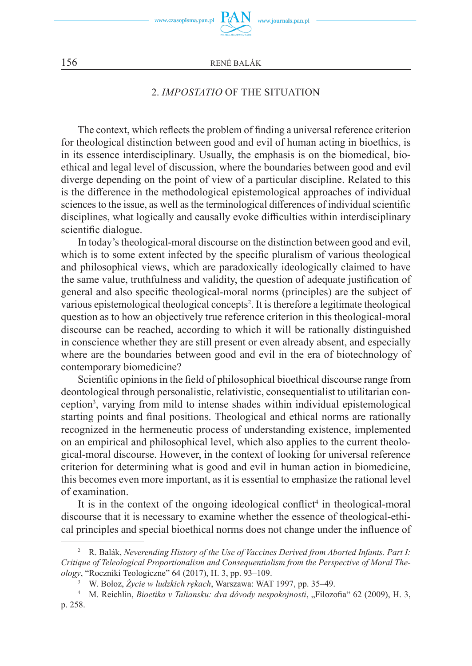

# 2. *IMPOSTATIO* OF THE SITUATION

The context, which reflects the problem of finding a universal reference criterion for theological distinction between good and evil of human acting in bioethics, is in its essence interdisciplinary. Usually, the emphasis is on the biomedical, bioethical and legal level of discussion, where the boundaries between good and evil diverge depending on the point of view of a particular discipline. Related to this is the difference in the methodological epistemological approaches of individual sciences to the issue, as well as the terminological differences of individual scientific disciplines, what logically and causally evoke difficulties within interdisciplinary scientific dialogue.

In today's theological-moral discourse on the distinction between good and evil, which is to some extent infected by the specific pluralism of various theological and philosophical views, which are paradoxically ideologically claimed to have the same value, truthfulness and validity, the question of adequate justification of general and also specific theological-moral norms (principles) are the subject of various epistemological theological concepts<sup>2</sup> . It is therefore a legitimate theological question as to how an objectively true reference criterion in this theological-moral discourse can be reached, according to which it will be rationally distinguished in conscience whether they are still present or even already absent, and especially where are the boundaries between good and evil in the era of biotechnology of contemporary biomedicine?

Scientific opinions in the field of philosophical bioethical discourse range from deontological through personalistic, relativistic, consequentialist to utilitarian conception<sup>3</sup> , varying from mild to intense shades within individual epistemological starting points and final positions. Theological and ethical norms are rationally recognized in the hermeneutic process of understanding existence, implemented on an empirical and philosophical level, which also applies to the current theological-moral discourse. However, in the context of looking for universal reference criterion for determining what is good and evil in human action in biomedicine, this becomes even more important, as it is essential to emphasize the rational level of examination.

It is in the context of the ongoing ideological conflict<sup>4</sup> in theological-moral discourse that it is necessary to examine whether the essence of theological-ethical principles and special bioethical norms does not change under the influence of

<sup>2</sup> R. Balák, *Neverending History of the Use of Vaccines Derived from Aborted Infants. Part I: Critique of Teleological Proportionalism and Consequentialism from the Perspective of Moral Theology*, "Roczniki Teologiczne" 64 (2017), H. 3, pp. 93–109.

<sup>3</sup> W. Bołoz, *Życie w ludzkich rękach*, Warszawa: WAT 1997, pp. 35–49.

<sup>&</sup>lt;sup>4</sup> M. Reichlin, *Bioetika v Taliansku: dva dôvody nespokojnosti*, "Filozofia" 62 (2009), H. 3, p. 258.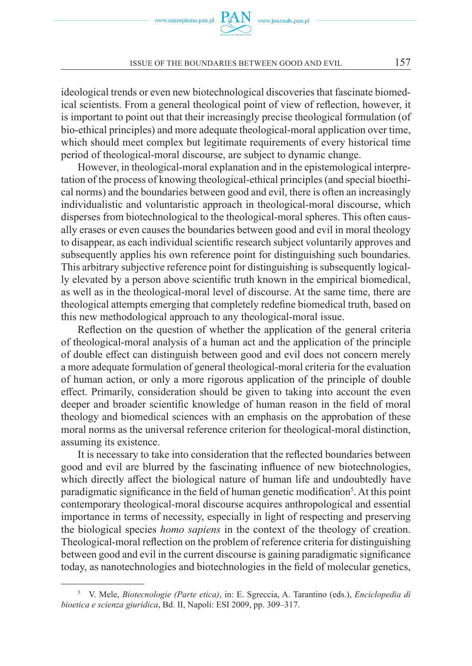ideological trends or even new biotechnological discoveries that fascinate biomedical scientists. From a general theological point of view of reflection, however, it is important to point out that their increasingly precise theological formulation (of bio-ethical principles) and more adequate theological-moral application over time, which should meet complex but legitimate requirements of every historical time period of theological-moral discourse, are subject to dynamic change.

However, in theological-moral explanation and in the epistemological interpretation of the process of knowing theological-ethical principles (and special bioethical norms) and the boundaries between good and evil, there is often an increasingly individualistic and voluntaristic approach in theological-moral discourse, which disperses from biotechnological to the theological-moral spheres. This often causally erases or even causes the boundaries between good and evil in moral theology to disappear, as each individual scientific research subject voluntarily approves and subsequently applies his own reference point for distinguishing such boundaries. This arbitrary subjective reference point for distinguishing is subsequently logically elevated by a person above scientific truth known in the empirical biomedical, as well as in the theological-moral level of discourse. At the same time, there are theological attempts emerging that completely redefine biomedical truth, based on this new methodological approach to any theological-moral issue.

Reflection on the question of whether the application of the general criteria of theological-moral analysis of a human act and the application of the principle of double effect can distinguish between good and evil does not concern merely a more adequate formulation of general theological-moral criteria for the evaluation of human action, or only a more rigorous application of the principle of double effect. Primarily, consideration should be given to taking into account the even deeper and broader scientific knowledge of human reason in the field of moral theology and biomedical sciences with an emphasis on the approbation of these moral norms as the universal reference criterion for theological-moral distinction, assuming its existence.

It is necessary to take into consideration that the reflected boundaries between good and evil are blurred by the fascinating influence of new biotechnologies, which directly affect the biological nature of human life and undoubtedly have paradigmatic significance in the field of human genetic modification<sup>5</sup>. At this point contemporary theological-moral discourse acquires anthropological and essential importance in terms of necessity, especially in light of respecting and preserving the biological species *homo sapiens* in the context of the theology of creation. Theological-moral reflection on the problem of reference criteria for distinguishing between good and evil in the current discourse is gaining paradigmatic significance today, as nanotechnologies and biotechnologies in the field of molecular genetics,

<sup>5</sup> V. Mele, *Biotecnologie (Parte etica)*, in: E. Sgreccia, A. Tarantino (eds.), *Enciclopedia di bioetica e scienza giuridica*, Bd. II, Napoli: ESI 2009, pp. 309–317.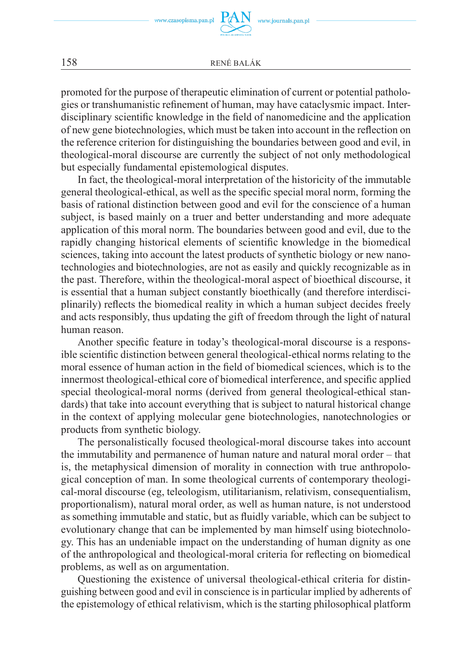www.czasopisma.pan.pl

158 RENÉ BALÁK

promoted for the purpose of therapeutic elimination of current or potential pathologies or transhumanistic refinement of human, may have cataclysmic impact. Interdisciplinary scientific knowledge in the field of nanomedicine and the application of new gene biotechnologies, which must be taken into account in the reflection on the reference criterion for distinguishing the boundaries between good and evil, in theological-moral discourse are currently the subject of not only methodological but especially fundamental epistemological disputes.

In fact, the theological-moral interpretation of the historicity of the immutable general theological-ethical, as well as the specific special moral norm, forming the basis of rational distinction between good and evil for the conscience of a human subject, is based mainly on a truer and better understanding and more adequate application of this moral norm. The boundaries between good and evil, due to the rapidly changing historical elements of scientific knowledge in the biomedical sciences, taking into account the latest products of synthetic biology or new nanotechnologies and biotechnologies, are not as easily and quickly recognizable as in the past. Therefore, within the theological-moral aspect of bioethical discourse, it is essential that a human subject constantly bioethically (and therefore interdisciplinarily) reflects the biomedical reality in which a human subject decides freely and acts responsibly, thus updating the gift of freedom through the light of natural human reason.

Another specific feature in today's theological-moral discourse is a responsible scientific distinction between general theological-ethical norms relating to the moral essence of human action in the field of biomedical sciences, which is to the innermost theological-ethical core of biomedical interference, and specific applied special theological-moral norms (derived from general theological-ethical standards) that take into account everything that is subject to natural historical change in the context of applying molecular gene biotechnologies, nanotechnologies or products from synthetic biology.

The personalistically focused theological-moral discourse takes into account the immutability and permanence of human nature and natural moral order – that is, the metaphysical dimension of morality in connection with true anthropological conception of man. In some theological currents of contemporary theological-moral discourse (eg, teleologism, utilitarianism, relativism, consequentialism, proportionalism), natural moral order, as well as human nature, is not understood as something immutable and static, but as fluidly variable, which can be subject to evolutionary change that can be implemented by man himself using biotechnology. This has an undeniable impact on the understanding of human dignity as one of the anthropological and theological-moral criteria for reflecting on biomedical problems, as well as on argumentation.

Questioning the existence of universal theological-ethical criteria for distinguishing between good and evil in conscience is in particular implied by adherents of the epistemology of ethical relativism, which is the starting philosophical platform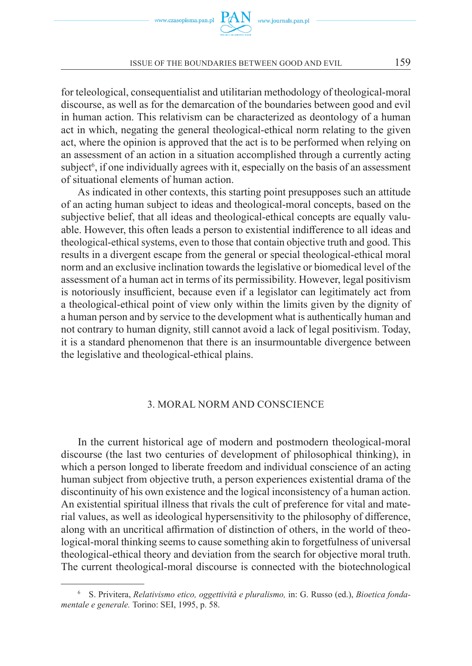



for teleological, consequentialist and utilitarian methodology of theological-moral discourse, as well as for the demarcation of the boundaries between good and evil in human action. This relativism can be characterized as deontology of a human act in which, negating the general theological-ethical norm relating to the given act, where the opinion is approved that the act is to be performed when relying on an assessment of an action in a situation accomplished through a currently acting subject<sup>6</sup>, if one individually agrees with it, especially on the basis of an assessment of situational elements of human action.

As indicated in other contexts, this starting point presupposes such an attitude of an acting human subject to ideas and theological-moral concepts, based on the subjective belief, that all ideas and theological-ethical concepts are equally valuable. However, this often leads a person to existential indifference to all ideas and theological-ethical systems, even to those that contain objective truth and good. This results in a divergent escape from the general or special theological-ethical moral norm and an exclusive inclination towards the legislative or biomedical level of the assessment of a human act in terms of its permissibility. However, legal positivism is notoriously insufficient, because even if a legislator can legitimately act from a theological-ethical point of view only within the limits given by the dignity of a human person and by service to the development what is authentically human and not contrary to human dignity, still cannot avoid a lack of legal positivism. Today, it is a standard phenomenon that there is an insurmountable divergence between the legislative and theological-ethical plains.

#### 3. MORAL NORM AND CONSCIENCE

In the current historical age of modern and postmodern theological-moral discourse (the last two centuries of development of philosophical thinking), in which a person longed to liberate freedom and individual conscience of an acting human subject from objective truth, a person experiences existential drama of the discontinuity of his own existence and the logical inconsistency of a human action. An existential spiritual illness that rivals the cult of preference for vital and material values, as well as ideological hypersensitivity to the philosophy of difference, along with an uncritical affirmation of distinction of others, in the world of theological-moral thinking seems to cause something akin to forgetfulness of universal theological-ethical theory and deviation from the search for objective moral truth. The current theological-moral discourse is connected with the biotechnological

<sup>6</sup> S. Privitera, *Relativismo etico, oggettività e pluralismo,* in: G. Russo (ed.), *Bioetica fondamentale e generale.* Torino: SEI, 1995, p. 58.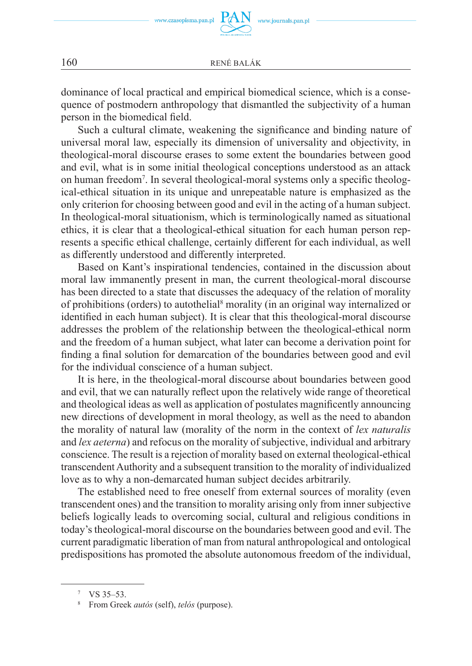dominance of local practical and empirical biomedical science, which is a consequence of postmodern anthropology that dismantled the subjectivity of a human person in the biomedical field.

Such a cultural climate, weakening the significance and binding nature of universal moral law, especially its dimension of universality and objectivity, in theological-moral discourse erases to some extent the boundaries between good and evil, what is in some initial theological conceptions understood as an attack on human freedom<sup>7</sup> . In several theological-moral systems only a specific theological-ethical situation in its unique and unrepeatable nature is emphasized as the only criterion for choosing between good and evil in the acting of a human subject. In theological-moral situationism, which is terminologically named as situational ethics, it is clear that a theological-ethical situation for each human person represents a specific ethical challenge, certainly different for each individual, as well as differently understood and differently interpreted.

Based on Kant's inspirational tendencies, contained in the discussion about moral law immanently present in man, the current theological-moral discourse has been directed to a state that discusses the adequacy of the relation of morality of prohibitions (orders) to autothelial<sup>8</sup> morality (in an original way internalized or identified in each human subject). It is clear that this theological-moral discourse addresses the problem of the relationship between the theological-ethical norm and the freedom of a human subject, what later can become a derivation point for finding a final solution for demarcation of the boundaries between good and evil for the individual conscience of a human subject.

It is here, in the theological-moral discourse about boundaries between good and evil, that we can naturally reflect upon the relatively wide range of theoretical and theological ideas as well as application of postulates magnificently announcing new directions of development in moral theology, as well as the need to abandon the morality of natural law (morality of the norm in the context of *lex naturalis* and *lex aeterna*) and refocus on the morality of subjective, individual and arbitrary conscience. The result is a rejection of morality based on external theological-ethical transcendent Authority and a subsequent transition to the morality of individualized love as to why a non-demarcated human subject decides arbitrarily.

The established need to free oneself from external sources of morality (even transcendent ones) and the transition to morality arising only from inner subjective beliefs logically leads to overcoming social, cultural and religious conditions in today's theological-moral discourse on the boundaries between good and evil. The current paradigmatic liberation of man from natural anthropological and ontological predispositions has promoted the absolute autonomous freedom of the individual,

<sup>7</sup> VS 35–53.

<sup>8</sup> From Greek *autós* (self), *telós* (purpose).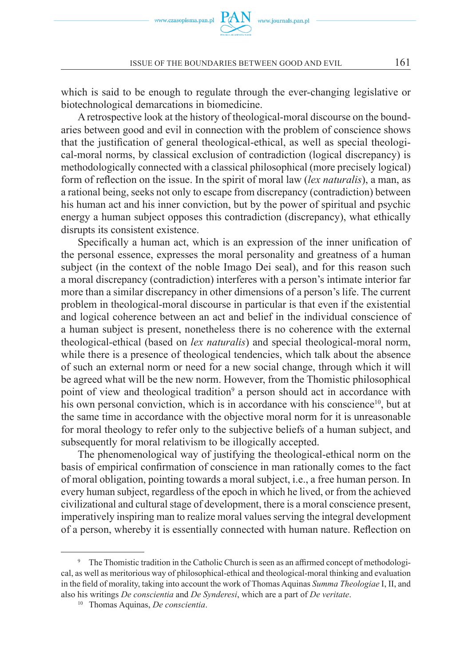

which is said to be enough to regulate through the ever-changing legislative or biotechnological demarcations in biomedicine.

Aretrospective look at the history of theological-moral discourse on the boundaries between good and evil in connection with the problem of conscience shows that the justification of general theological-ethical, as well as special theological-moral norms, by classical exclusion of contradiction (logical discrepancy) is methodologically connected with a classical philosophical (more precisely logical) form of reflection on the issue. In the spirit of moral law (*lex naturalis*), a man, as a rational being, seeks not only to escape from discrepancy (contradiction) between his human act and his inner conviction, but by the power of spiritual and psychic energy a human subject opposes this contradiction (discrepancy), what ethically disrupts its consistent existence.

Specifically a human act, which is an expression of the inner unification of the personal essence, expresses the moral personality and greatness of a human subject (in the context of the noble Imago Dei seal), and for this reason such a moral discrepancy (contradiction) interferes with a person's intimate interior far more than a similar discrepancy in other dimensions of a person's life. The current problem in theological-moral discourse in particular is that even if the existential and logical coherence between an act and belief in the individual conscience of a human subject is present, nonetheless there is no coherence with the external theological-ethical (based on *lex naturalis*) and special theological-moral norm, while there is a presence of theological tendencies, which talk about the absence of such an external norm or need for a new social change, through which it will be agreed what will be the new norm. However, from the Thomistic philosophical point of view and theological tradition<sup>9</sup> a person should act in accordance with his own personal conviction, which is in accordance with his conscience<sup>10</sup>, but at the same time in accordance with the objective moral norm for it is unreasonable for moral theology to refer only to the subjective beliefs of a human subject, and subsequently for moral relativism to be illogically accepted.

The phenomenological way of justifying the theological-ethical norm on the basis of empirical confirmation of conscience in man rationally comes to the fact of moral obligation, pointing towards a moral subject, i.e., a free human person. In every human subject, regardless of the epoch in which he lived, or from the achieved civilizational and cultural stage of development, there is a moral conscience present, imperatively inspiring man to realize moral values serving the integral development of a person, whereby it is essentially connected with human nature. Reflection on

<sup>&</sup>lt;sup>9</sup> The Thomistic tradition in the Catholic Church is seen as an affirmed concept of methodological, as well as meritorious way of philosophical-ethical and theological-moral thinking and evaluation in the field of morality, taking into account the work of Thomas Aquinas *Summa Theologiae* I, II, and also his writings *De conscientia* and *De Synderesi*, which are a part of *De veritate*.

<sup>10</sup> Thomas Aquinas, *De conscientia*.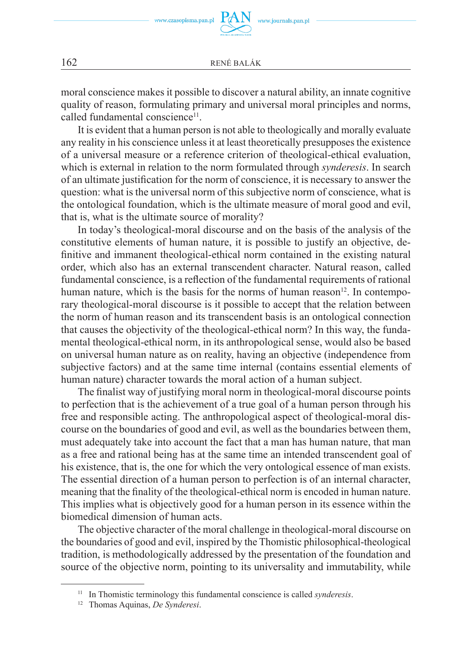moral conscience makes it possible to discover a natural ability, an innate cognitive quality of reason, formulating primary and universal moral principles and norms, called fundamental conscience<sup>11</sup>.

It is evident that a human person is not able to theologically and morally evaluate any reality in his conscience unless it at least theoretically presupposes the existence of a universal measure or a reference criterion of theological-ethical evaluation, which is external in relation to the norm formulated through *synderesis*. In search of an ultimate justification for the norm of conscience, it is necessary to answer the question: what is the universal norm of this subjective norm of conscience, what is the ontological foundation, which is the ultimate measure of moral good and evil, that is, what is the ultimate source of morality?

In today's theological-moral discourse and on the basis of the analysis of the constitutive elements of human nature, it is possible to justify an objective, definitive and immanent theological-ethical norm contained in the existing natural order, which also has an external transcendent character. Natural reason, called fundamental conscience, is a reflection of the fundamental requirements of rational human nature, which is the basis for the norms of human reason<sup>12</sup>. In contemporary theological-moral discourse is it possible to accept that the relation between the norm of human reason and its transcendent basis is an ontological connection that causes the objectivity of the theological-ethical norm? In this way, the fundamental theological-ethical norm, in its anthropological sense, would also be based on universal human nature as on reality, having an objective (independence from subjective factors) and at the same time internal (contains essential elements of human nature) character towards the moral action of a human subject.

The finalist way of justifying moral norm in theological-moral discourse points to perfection that is the achievement of a true goal of a human person through his free and responsible acting. The anthropological aspect of theological-moral discourse on the boundaries of good and evil, as well as the boundaries between them, must adequately take into account the fact that a man has human nature, that man as a free and rational being has at the same time an intended transcendent goal of his existence, that is, the one for which the very ontological essence of man exists. The essential direction of a human person to perfection is of an internal character, meaning that the finality of the theological-ethical norm is encoded in human nature. This implies what is objectively good for a human person in its essence within the biomedical dimension of human acts.

The objective character of the moral challenge in theological-moral discourse on the boundaries of good and evil, inspired by the Thomistic philosophical-theological tradition, is methodologically addressed by the presentation of the foundation and source of the objective norm, pointing to its universality and immutability, while

<sup>11</sup> In Thomistic terminology this fundamental conscience is called *synderesis*.

<sup>12</sup> Thomas Aquinas, *De Synderesi*.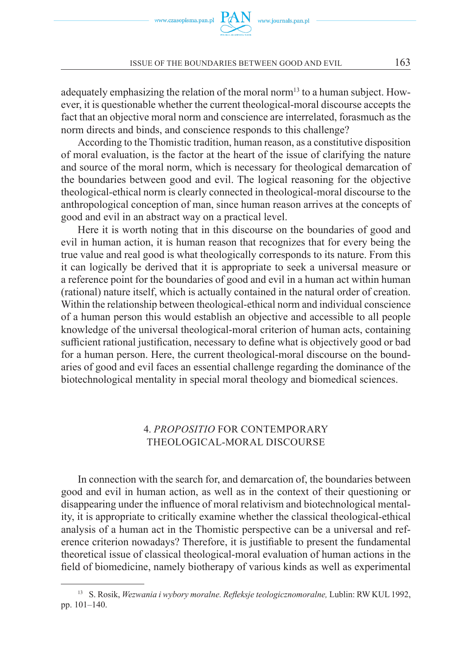

adequately emphasizing the relation of the moral norm<sup>13</sup> to a human subject. However, it is questionable whether the current theological-moral discourse accepts the fact that an objective moral norm and conscience are interrelated, forasmuch as the norm directs and binds, and conscience responds to this challenge?

According to the Thomistic tradition, human reason, as a constitutive disposition of moral evaluation, is the factor at the heart of the issue of clarifying the nature and source of the moral norm, which is necessary for theological demarcation of the boundaries between good and evil. The logical reasoning for the objective theological-ethical norm is clearly connected in theological-moral discourse to the anthropological conception of man, since human reason arrives at the concepts of good and evil in an abstract way on a practical level.

Here it is worth noting that in this discourse on the boundaries of good and evil in human action, it is human reason that recognizes that for every being the true value and real good is what theologically corresponds to its nature. From this it can logically be derived that it is appropriate to seek a universal measure or a reference point for the boundaries of good and evil in a human act within human (rational) nature itself, which is actually contained in the natural order of creation. Within the relationship between theological-ethical norm and individual conscience of a human person this would establish an objective and accessible to all people knowledge of the universal theological-moral criterion of human acts, containing sufficient rational justification, necessary to define what is objectively good or bad for a human person. Here, the current theological-moral discourse on the boundaries of good and evil faces an essential challenge regarding the dominance of the biotechnological mentality in special moral theology and biomedical sciences.

# 4. *PROPOSITIO* FOR CONTEMPORARY THEOLOGICAL-MORAL DISCOURSE

In connection with the search for, and demarcation of, the boundaries between good and evil in human action, as well as in the context of their questioning or disappearing under the influence of moral relativism and biotechnological mentality, it is appropriate to critically examine whether the classical theological-ethical analysis of a human act in the Thomistic perspective can be a universal and reference criterion nowadays? Therefore, it is justifiable to present the fundamental theoretical issue of classical theological-moral evaluation of human actions in the field of biomedicine, namely biotherapy of various kinds as well as experimental

<sup>13</sup> S. Rosik, *Wezwania i wybory moralne. Refleksje teologicznomoralne,* Lublin: RW KUL 1992, pp. 101–140.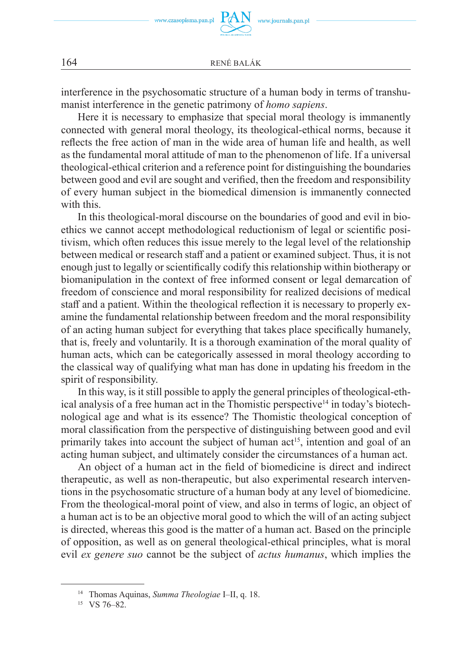interference in the psychosomatic structure of a human body in terms of transhumanist interference in the genetic patrimony of *homo sapiens*.

Here it is necessary to emphasize that special moral theology is immanently connected with general moral theology, its theological-ethical norms, because it reflects the free action of man in the wide area of human life and health, as well as the fundamental moral attitude of man to the phenomenon of life. If a universal theological-ethical criterion and a reference point for distinguishing the boundaries between good and evil are sought and verified, then the freedom and responsibility of every human subject in the biomedical dimension is immanently connected with this.

In this theological-moral discourse on the boundaries of good and evil in bioethics we cannot accept methodological reductionism of legal or scientific positivism, which often reduces this issue merely to the legal level of the relationship between medical or research staff and a patient or examined subject. Thus, it is not enough just to legally or scientifically codify this relationship within biotherapy or biomanipulation in the context of free informed consent or legal demarcation of freedom of conscience and moral responsibility for realized decisions of medical staff and a patient. Within the theological reflection it is necessary to properly examine the fundamental relationship between freedom and the moral responsibility of an acting human subject for everything that takes place specifically humanely, that is, freely and voluntarily. It is a thorough examination of the moral quality of human acts, which can be categorically assessed in moral theology according to the classical way of qualifying what man has done in updating his freedom in the spirit of responsibility.

In this way, is it still possible to apply the general principles of theological-ethical analysis of a free human act in the Thomistic perspective<sup>14</sup> in today's biotechnological age and what is its essence? The Thomistic theological conception of moral classification from the perspective of distinguishing between good and evil primarily takes into account the subject of human  $act<sup>15</sup>$ , intention and goal of an acting human subject, and ultimately consider the circumstances of a human act.

An object of a human act in the field of biomedicine is direct and indirect therapeutic, as well as non-therapeutic, but also experimental research interventions in the psychosomatic structure of a human body at any level of biomedicine. From the theological-moral point of view, and also in terms of logic, an object of a human act is to be an objective moral good to which the will of an acting subject is directed, whereas this good is the matter of a human act. Based on the principle of opposition, as well as on general theological-ethical principles, what is moral evil *ex genere suo* cannot be the subject of *actus humanus*, which implies the

<sup>14</sup> Thomas Aquinas, *Summa Theologiae* I–II, q. 18.

<sup>15</sup> VS 76–82.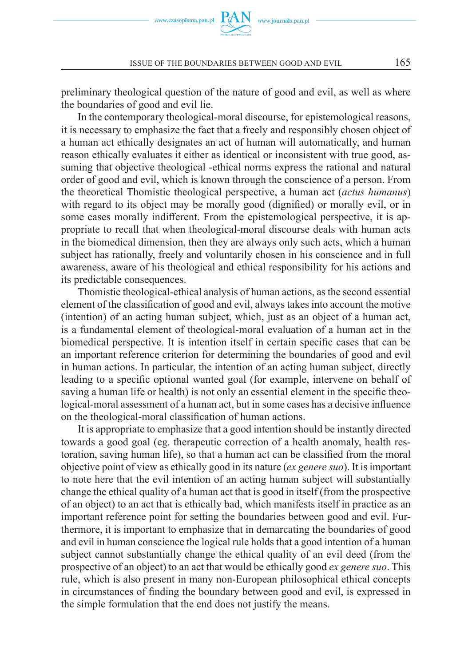

preliminary theological question of the nature of good and evil, as well as where the boundaries of good and evil lie.

In the contemporary theological-moral discourse, for epistemological reasons, it is necessary to emphasize the fact that a freely and responsibly chosen object of a human act ethically designates an act of human will automatically, and human reason ethically evaluates it either as identical or inconsistent with true good, assuming that objective theological -ethical norms express the rational and natural order of good and evil, which is known through the conscience of a person. From the theoretical Thomistic theological perspective, a human act (*actus humanus*) with regard to its object may be morally good (dignified) or morally evil, or in some cases morally indifferent. From the epistemological perspective, it is appropriate to recall that when theological-moral discourse deals with human acts in the biomedical dimension, then they are always only such acts, which a human subject has rationally, freely and voluntarily chosen in his conscience and in full awareness, aware of his theological and ethical responsibility for his actions and its predictable consequences.

Thomistic theological-ethical analysis of human actions, as the second essential element of the classification of good and evil, always takes into account the motive (intention) of an acting human subject, which, just as an object of a human act, is a fundamental element of theological-moral evaluation of a human act in the biomedical perspective. It is intention itself in certain specific cases that can be an important reference criterion for determining the boundaries of good and evil in human actions. In particular, the intention of an acting human subject, directly leading to a specific optional wanted goal (for example, intervene on behalf of saving a human life or health) is not only an essential element in the specific theological-moral assessment of a human act, but in some cases has a decisive influence on the theological-moral classification of human actions.

It is appropriate to emphasize that a good intention should be instantly directed towards a good goal (eg. therapeutic correction of a health anomaly, health restoration, saving human life), so that a human act can be classified from the moral objective point of view as ethically good in its nature (*ex genere suo*). It is important to note here that the evil intention of an acting human subject will substantially change the ethical quality of a human act that is good in itself (from the prospective of an object) to an act that is ethically bad, which manifests itself in practice as an important reference point for setting the boundaries between good and evil. Furthermore, it is important to emphasize that in demarcating the boundaries of good and evil in human conscience the logical rule holds that a good intention of a human subject cannot substantially change the ethical quality of an evil deed (from the prospective of an object) to an act that would be ethically good *ex genere suo*. This rule, which is also present in many non-European philosophical ethical concepts in circumstances of finding the boundary between good and evil, is expressed in the simple formulation that the end does not justify the means.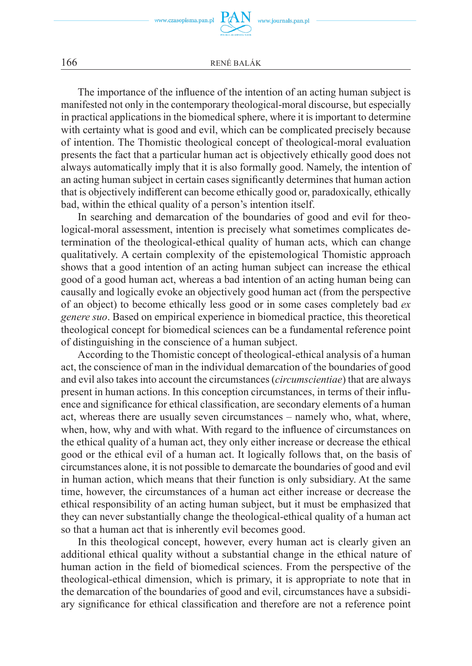The importance of the influence of the intention of an acting human subject is manifested not only in the contemporary theological-moral discourse, but especially in practical applications in the biomedical sphere, where it is important to determine with certainty what is good and evil, which can be complicated precisely because of intention. The Thomistic theological concept of theological-moral evaluation presents the fact that a particular human act is objectively ethically good does not always automatically imply that it is also formally good. Namely, the intention of an acting human subject in certain cases significantly determines that human action that is objectively indifferent can become ethically good or, paradoxically, ethically bad, within the ethical quality of a person's intention itself.

In searching and demarcation of the boundaries of good and evil for theological-moral assessment, intention is precisely what sometimes complicates determination of the theological-ethical quality of human acts, which can change qualitatively. A certain complexity of the epistemological Thomistic approach shows that a good intention of an acting human subject can increase the ethical good of a good human act, whereas a bad intention of an acting human being can causally and logically evoke an objectively good human act (from the perspective of an object) to become ethically less good or in some cases completely bad *ex genere suo*. Based on empirical experience in biomedical practice, this theoretical theological concept for biomedical sciences can be a fundamental reference point of distinguishing in the conscience of a human subject.

According to the Thomistic concept of theological-ethical analysis of a human act, the conscience of man in the individual demarcation of the boundaries of good and evil also takes into account the circumstances (*circumscientiae*) that are always present in human actions. In this conception circumstances, in terms of their influence and significance for ethical classification, are secondary elements of a human act, whereas there are usually seven circumstances – namely who, what, where, when, how, why and with what. With regard to the influence of circumstances on the ethical quality of a human act, they only either increase or decrease the ethical good or the ethical evil of a human act. It logically follows that, on the basis of circumstances alone, it is not possible to demarcate the boundaries of good and evil in human action, which means that their function is only subsidiary. At the same time, however, the circumstances of a human act either increase or decrease the ethical responsibility of an acting human subject, but it must be emphasized that they can never substantially change the theological-ethical quality of a human act so that a human act that is inherently evil becomes good.

In this theological concept, however, every human act is clearly given an additional ethical quality without a substantial change in the ethical nature of human action in the field of biomedical sciences. From the perspective of the theological-ethical dimension, which is primary, it is appropriate to note that in the demarcation of the boundaries of good and evil, circumstances have a subsidiary significance for ethical classification and therefore are not a reference point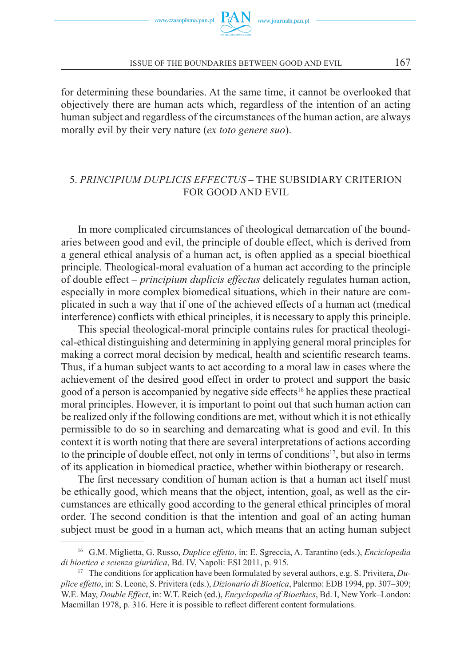for determining these boundaries. At the same time, it cannot be overlooked that objectively there are human acts which, regardless of the intention of an acting human subject and regardless of the circumstances of the human action, are always morally evil by their very nature (*ex toto genere suo*).

# 5. *PRINCIPIUM DUPLICIS EFFECTUS* – THE SUBSIDIARY CRITERION FOR GOOD AND EVIL

In more complicated circumstances of theological demarcation of the boundaries between good and evil, the principle of double effect, which is derived from a general ethical analysis of a human act, is often applied as a special bioethical principle. Theological-moral evaluation of a human act according to the principle of double effect – *principium duplicis effectus* delicately regulates human action, especially in more complex biomedical situations, which in their nature are complicated in such a way that if one of the achieved effects of a human act (medical interference) conflicts with ethical principles, it is necessary to apply this principle.

This special theological-moral principle contains rules for practical theological-ethical distinguishing and determining in applying general moral principles for making a correct moral decision by medical, health and scientific research teams. Thus, if a human subject wants to act according to a moral law in cases where the achievement of the desired good effect in order to protect and support the basic good of a person is accompanied by negative side effects<sup>16</sup> he applies these practical moral principles. However, it is important to point out that such human action can be realized only if the following conditions are met, without which it is not ethically permissible to do so in searching and demarcating what is good and evil. In this context it is worth noting that there are several interpretations of actions according to the principle of double effect, not only in terms of conditions<sup>17</sup>, but also in terms of its application in biomedical practice, whether within biotherapy or research.

The first necessary condition of human action is that a human act itself must be ethically good, which means that the object, intention, goal, as well as the circumstances are ethically good according to the general ethical principles of moral order. The second condition is that the intention and goal of an acting human subject must be good in a human act, which means that an acting human subject

<sup>16</sup> G.M. Miglietta, G. Russo, *Duplice effetto*, in: E. Sgreccia, A. Tarantino (eds.), *Enciclopedia di bioetica e scienza giuridica*, Bd. IV, Napoli: ESI 2011, p. 915.

<sup>17</sup> The conditions for application have been formulated by several authors, e.g. S. Privitera, *Duplice effetto*, in: S. Leone, S. Privitera (eds.), *Dizionario di Bioetica*, Palermo: EDB 1994, pp. 307–309; W.E. May, *Double Effect*, in: W.T. Reich (ed.), *Encyclopedia of Bioethics*, Bd. I, New York–London: Macmillan 1978, p. 316. Here it is possible to reflect different content formulations.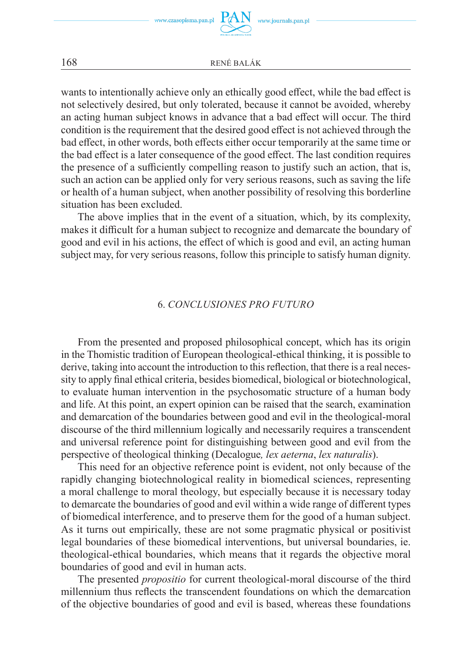

wants to intentionally achieve only an ethically good effect, while the bad effect is not selectively desired, but only tolerated, because it cannot be avoided, whereby an acting human subject knows in advance that a bad effect will occur. The third condition is the requirement that the desired good effect is not achieved through the bad effect, in other words, both effects either occur temporarily at the same time or the bad effect is a later consequence of the good effect. The last condition requires the presence of a sufficiently compelling reason to justify such an action, that is, such an action can be applied only for very serious reasons, such as saving the life or health of a human subject, when another possibility of resolving this borderline situation has been excluded.

The above implies that in the event of a situation, which, by its complexity, makes it difficult for a human subject to recognize and demarcate the boundary of good and evil in his actions, the effect of which is good and evil, an acting human subject may, for very serious reasons, follow this principle to satisfy human dignity.

## 6. *CONCLUSIONES PRO FUTURO*

From the presented and proposed philosophical concept, which has its origin in the Thomistic tradition of European theological-ethical thinking, it is possible to derive, taking into account the introduction to this reflection, that there is a real necessity to apply final ethical criteria, besides biomedical, biological or biotechnological, to evaluate human intervention in the psychosomatic structure of a human body and life. At this point, an expert opinion can be raised that the search, examination and demarcation of the boundaries between good and evil in the theological-moral discourse of the third millennium logically and necessarily requires a transcendent and universal reference point for distinguishing between good and evil from the perspective of theological thinking (Decalogue*, lex aeterna*, *lex naturalis*).

This need for an objective reference point is evident, not only because of the rapidly changing biotechnological reality in biomedical sciences, representing a moral challenge to moral theology, but especially because it is necessary today to demarcate the boundaries of good and evil within a wide range of different types of biomedical interference, and to preserve them for the good of a human subject. As it turns out empirically, these are not some pragmatic physical or positivist legal boundaries of these biomedical interventions, but universal boundaries, ie. theological-ethical boundaries, which means that it regards the objective moral boundaries of good and evil in human acts.

The presented *propositio* for current theological-moral discourse of the third millennium thus reflects the transcendent foundations on which the demarcation of the objective boundaries of good and evil is based, whereas these foundations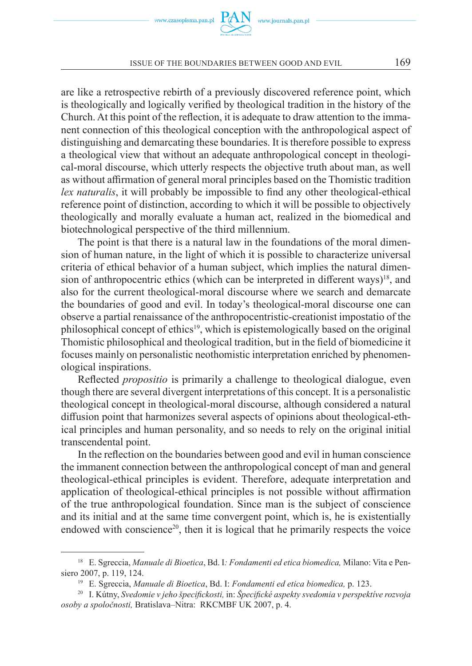are like a retrospective rebirth of a previously discovered reference point, which is theologically and logically verified by theological tradition in the history of the Church. At this point of the reflection, it is adequate to draw attention to the immanent connection of this theological conception with the anthropological aspect of distinguishing and demarcating these boundaries. It is therefore possible to express a theological view that without an adequate anthropological concept in theological-moral discourse, which utterly respects the objective truth about man, as well as without affirmation of general moral principles based on the Thomistic tradition *lex naturalis*, it will probably be impossible to find any other theological-ethical reference point of distinction, according to which it will be possible to objectively theologically and morally evaluate a human act, realized in the biomedical and biotechnological perspective of the third millennium.

The point is that there is a natural law in the foundations of the moral dimension of human nature, in the light of which it is possible to characterize universal criteria of ethical behavior of a human subject, which implies the natural dimension of anthropocentric ethics (which can be interpreted in different ways)<sup>18</sup>, and also for the current theological-moral discourse where we search and demarcate the boundaries of good and evil. In today's theological-moral discourse one can observe a partial renaissance of the anthropocentristic-creationist impostatio of the philosophical concept of ethics<sup>19</sup>, which is epistemologically based on the original Thomistic philosophical and theological tradition, but in the field of biomedicine it focuses mainly on personalistic neothomistic interpretation enriched by phenomenological inspirations.

Reflected *propositio* is primarily a challenge to theological dialogue, even though there are several divergent interpretations of this concept. It is a personalistic theological concept in theological-moral discourse, although considered a natural diffusion point that harmonizes several aspects of opinions about theological-ethical principles and human personality, and so needs to rely on the original initial transcendental point.

In the reflection on the boundaries between good and evil in human conscience the immanent connection between the anthropological concept of man and general theological-ethical principles is evident. Therefore, adequate interpretation and application of theological-ethical principles is not possible without affirmation of the true anthropological foundation. Since man is the subject of conscience and its initial and at the same time convergent point, which is, he is existentially endowed with conscience<sup>20</sup>, then it is logical that he primarily respects the voice

<sup>18</sup> E. Sgreccia, *Manuale di Bioetica*, Bd. I*: Fondamenti ed etica biomedica,* Milano: Vita e Pensiero 2007, p. 119, 124.

<sup>19</sup> E. Sgreccia, *Manuale di Bioetica*, Bd. I: *Fondamenti ed etica biomedica,* p. 123.

<sup>20</sup> I. Kútny, *Svedomie v jeho špecifickosti,* in: *Špecifické aspekty svedomia v perspektíve rozvoja osoby a spoločnosti,* Bratislava–Nitra: RKCMBF UK 2007, p. 4.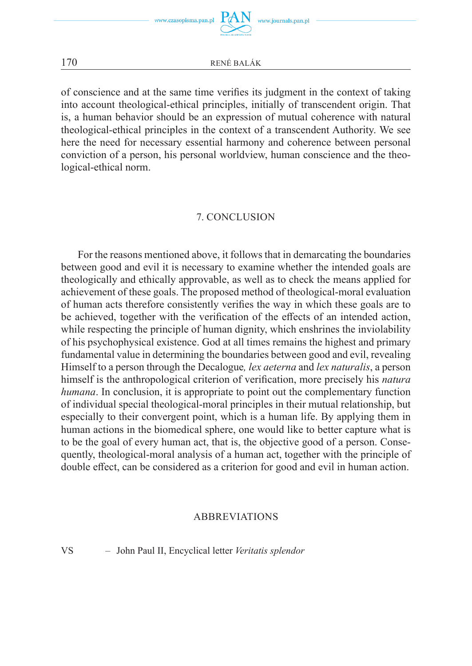of conscience and at the same time verifies its judgment in the context of taking into account theological-ethical principles, initially of transcendent origin. That is, a human behavior should be an expression of mutual coherence with natural theological-ethical principles in the context of a transcendent Authority. We see here the need for necessary essential harmony and coherence between personal conviction of a person, his personal worldview, human conscience and the theological-ethical norm.

## 7. CONCLUSION

For the reasons mentioned above, it follows that in demarcating the boundaries between good and evil it is necessary to examine whether the intended goals are theologically and ethically approvable, as well as to check the means applied for achievement of these goals. The proposed method of theological-moral evaluation of human acts therefore consistently verifies the way in which these goals are to be achieved, together with the verification of the effects of an intended action, while respecting the principle of human dignity, which enshrines the inviolability of his psychophysical existence. God at all times remains the highest and primary fundamental value in determining the boundaries between good and evil, revealing Himself to a person through the Decalogue*, lex aeterna* and *lex naturalis*, a person himself is the anthropological criterion of verification, more precisely his *natura humana*. In conclusion, it is appropriate to point out the complementary function of individual special theological-moral principles in their mutual relationship, but especially to their convergent point, which is a human life. By applying them in human actions in the biomedical sphere, one would like to better capture what is to be the goal of every human act, that is, the objective good of a person. Consequently, theological-moral analysis of a human act, together with the principle of double effect, can be considered as a criterion for good and evil in human action.

## ABBREVIATIONS

VS – John Paul II, Encyclical letter *Veritatis splendor*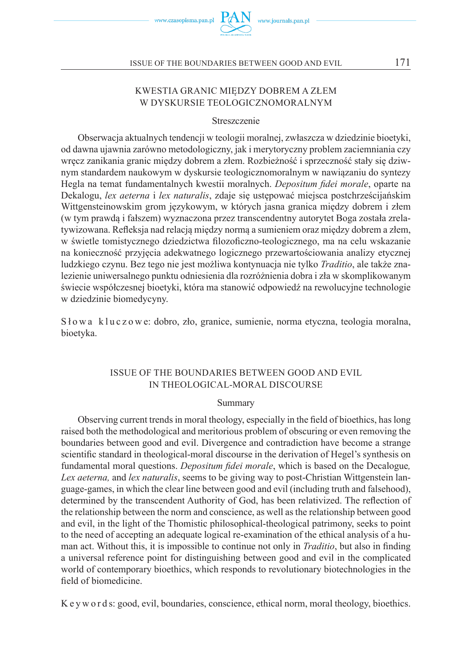

## KWESTIA GRANIC MIĘDZY DOBREM A ZŁEM W DYSKURSIE TEOLOGICZNOMORALNYM

#### Streszczenie

Obserwacja aktualnych tendencji w teologii moralnej, zwłaszcza w dziedzinie bioetyki, od dawna ujawnia zarówno metodologiczny, jak i merytoryczny problem zaciemniania czy wręcz zanikania granic między dobrem a złem. Rozbieżność i sprzeczność stały się dziwnym standardem naukowym w dyskursie teologicznomoralnym w nawiązaniu do syntezy Hegla na temat fundamentalnych kwestii moralnych. *Depositum fidei morale*, oparte na Dekalogu, *lex aeterna* i *lex naturalis*, zdaje się ustępować miejsca postchrześcijańskim Wittgensteinowskim grom językowym, w których jasna granica między dobrem i złem (w tym prawdą i fałszem) wyznaczona przez transcendentny autorytet Boga została zrelatywizowana. Refleksja nad relacją między normą a sumieniem oraz między dobrem a złem, w świetle tomistycznego dziedzictwa filozoficzno-teologicznego, ma na celu wskazanie na konieczność przyjęcia adekwatnego logicznego przewartościowania analizy etycznej ludzkiego czynu. Bez tego nie jest możliwa kontynuacja nie tylko *Traditio*, ale także znalezienie uniwersalnego punktu odniesienia dla rozróżnienia dobra i zła w skomplikowanym świecie współczesnej bioetyki, która ma stanowić odpowiedź na rewolucyjne technologie w dziedzinie biomedycyny.

Słowa kluczowe: dobro, zło, granice, sumienie, norma etyczna, teologia moralna, bioetyka.

### ISSUE OF THE BOUNDARIES BETWEEN GOOD AND EVIL IN THEOLOGICAL-MORAL DISCOURSE

#### Summary

Observing current trends in moral theology, especially in the field of bioethics, has long raised both the methodological and meritorious problem of obscuring or even removing the boundaries between good and evil. Divergence and contradiction have become a strange scientific standard in theological-moral discourse in the derivation of Hegel's synthesis on fundamental moral questions. *Depositum fidei morale*, which is based on the Decalogue*, Lex aeterna,* and *lex naturalis*, seems to be giving way to post-Christian Wittgenstein language-games, in which the clear line between good and evil (including truth and falsehood), determined by the transcendent Authority of God, has been relativized. The reflection of the relationship between the norm and conscience, as well as the relationship between good and evil, in the light of the Thomistic philosophical-theological patrimony, seeks to point to the need of accepting an adequate logical re-examination of the ethical analysis of a human act. Without this, it is impossible to continue not only in *Traditio*, but also in finding a universal reference point for distinguishing between good and evil in the complicated world of contemporary bioethics, which responds to revolutionary biotechnologies in the field of biomedicine.

K e y w o r d s: good, evil, boundaries, conscience, ethical norm, moral theology, bioethics.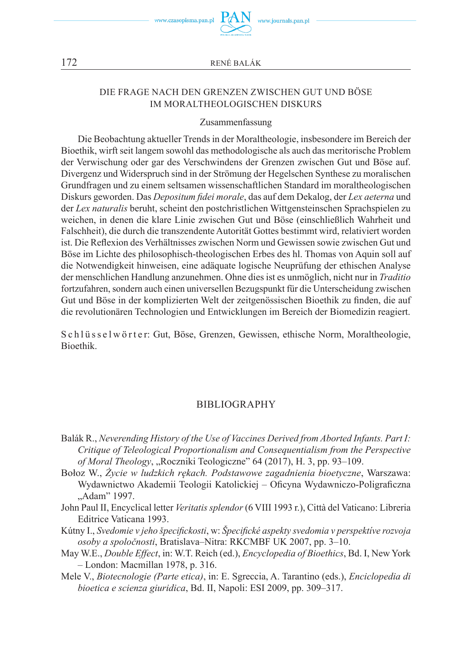



## DIE FRAGE NACH DEN GRENZEN ZWISCHEN GUT UND BÖSE IM MORALTHEOLOGISCHEN DISKURS

#### Zusammenfassung

Die Beobachtung aktueller Trends in der Moraltheologie, insbesondere im Bereich der Bioethik, wirft seit langem sowohl das methodologische als auch das meritorische Problem der Verwischung oder gar des Verschwindens der Grenzen zwischen Gut und Böse auf. Divergenz und Widerspruch sind in der Strömung der Hegelschen Synthese zu moralischen Grundfragen und zu einem seltsamen wissenschaftlichen Standard im moraltheologischen Diskurs geworden. Das *Depositum fidei morale*, das auf dem Dekalog, der *Lex aeterna* und der *Lex naturalis* beruht, scheint den postchristlichen Wittgensteinschen Sprachspielen zu weichen, in denen die klare Linie zwischen Gut und Böse (einschließlich Wahrheit und Falschheit), die durch die transzendente Autorität Gottes bestimmt wird, relativiert worden ist. Die Reflexion des Verhältnisses zwischen Norm und Gewissen sowie zwischen Gut und Böse im Lichte des philosophisch-theologischen Erbes des hl. Thomas von Aquin soll auf die Notwendigkeit hinweisen, eine adäquate logische Neuprüfung der ethischen Analyse der menschlichen Handlung anzunehmen. Ohne dies ist es unmöglich, nicht nur in *Traditio* fortzufahren, sondern auch einen universellen Bezugspunkt für die Unterscheidung zwischen Gut und Böse in der komplizierten Welt der zeitgenössischen Bioethik zu finden, die auf die revolutionären Technologien und Entwicklungen im Bereich der Biomedizin reagiert.

S c h l ü s s e l w ö r t e r: Gut, Böse, Grenzen, Gewissen, ethische Norm, Moraltheologie, Bioethik.

#### BIBLIOGRAPHY

- Balák R., *Neverending History of the Use of Vaccines Derived from Aborted Infants. Part I: Critique of Teleological Proportionalism and Consequentialism from the Perspective of Moral Theology*, "Roczniki Teologiczne" 64 (2017), H. 3, pp. 93–109.
- Bołoz W., *Życie w ludzkich rękach. Podstawowe zagadnienia bioetyczne*, Warszawa: Wydawnictwo Akademii Teologii Katolickiej – Oficyna Wydawniczo-Poligraficzna "Adam" 1997.
- John Paul II, Encyclical letter *Veritatis splendor* (6 VIII 1993 r.), Città del Vaticano: Libreria Editrice Vaticana 1993.
- Kútny I., *Svedomie v jeho špecifickosti*, w: *Špecifické aspekty svedomia v perspektíve rozvoja osoby a spoločnosti*, Bratislava–Nitra: RKCMBF UK 2007, pp. 3–10.
- May W.E., *Double Effect*, in: W.T. Reich (ed.), *Encyclopedia of Bioethics*, Bd. I, New York – London: Macmillan 1978, p. 316.
- Mele V., *Biotecnologie (Parte etica)*, in: E. Sgreccia, A. Tarantino (eds.), *Enciclopedia di bioetica e scienza giuridica*, Bd. II, Napoli: ESI 2009, pp. 309–317.